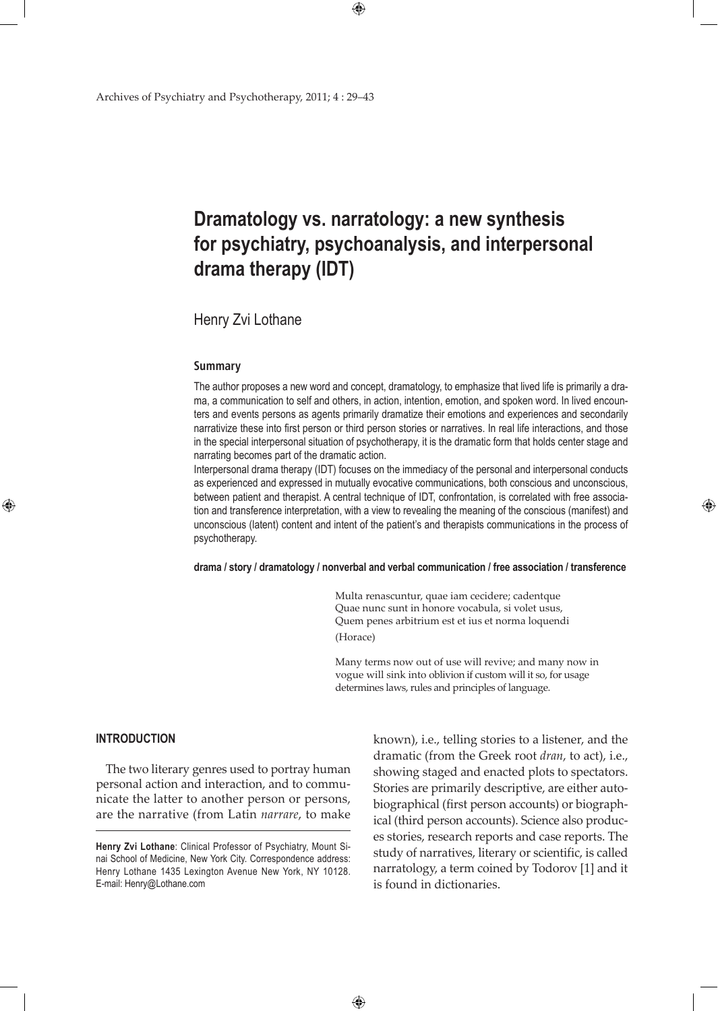Archives of Psychiatry and Psychotherapy, 2011; 4 : 29–43

# **Dramatology vs. narratology: a new synthesis for psychiatry, psychoanalysis, and interpersonal drama therapy (IDT)**

 $\bigoplus$ 

## Henry Zvi Lothane

#### **Summary**

The author proposes a new word and concept, dramatology, to emphasize that lived life is primarily a drama, a communication to self and others, in action, intention, emotion, and spoken word. In lived encounters and events persons as agents primarily dramatize their emotions and experiences and secondarily narrativize these into first person or third person stories or narratives. In real life interactions, and those in the special interpersonal situation of psychotherapy, it is the dramatic form that holds center stage and narrating becomes part of the dramatic action.

Interpersonal drama therapy (IDT) focuses on the immediacy of the personal and interpersonal conducts as experienced and expressed in mutually evocative communications, both conscious and unconscious, between patient and therapist. A central technique of IDT, confrontation, is correlated with free association and transference interpretation, with a view to revealing the meaning of the conscious (manifest) and unconscious (latent) content and intent of the patient's and therapists communications in the process of psychotherapy.

**drama / story / dramatology / nonverbal and verbal communication / free association / transference**

 $\bigoplus$ 

Multa renascuntur, quae iam cecidere; cadentque Quae nunc sunt in honore vocabula, si volet usus, Quem penes arbitrium est et ius et norma loquendi (Horace)

Many terms now out of use will revive; and many now in vogue will sink into oblivion if custom will it so, for usage determines laws, rules and principles of language.

#### **INTRODUCTION**

⊕

The two literary genres used to portray human personal action and interaction, and to communicate the latter to another person or persons, are the narrative (from Latin *narrare*, to make known), i.e., telling stories to a listener, and the dramatic (from the Greek root *dran*, to act), i.e., showing staged and enacted plots to spectators. Stories are primarily descriptive, are either autobiographical (first person accounts) or biographical (third person accounts). Science also produces stories, research reports and case reports. The study of narratives, literary or scientific, is called narratology, a term coined by Todorov [1] and it is found in dictionaries.

**Henry Zvi Lothane**: Clinical Professor of Psychiatry, Mount Sinai School of Medicine, New York City. Correspondence address: Henry Lothane 1435 Lexington Avenue New York, NY 10128. E-mail: Henry@Lothane.com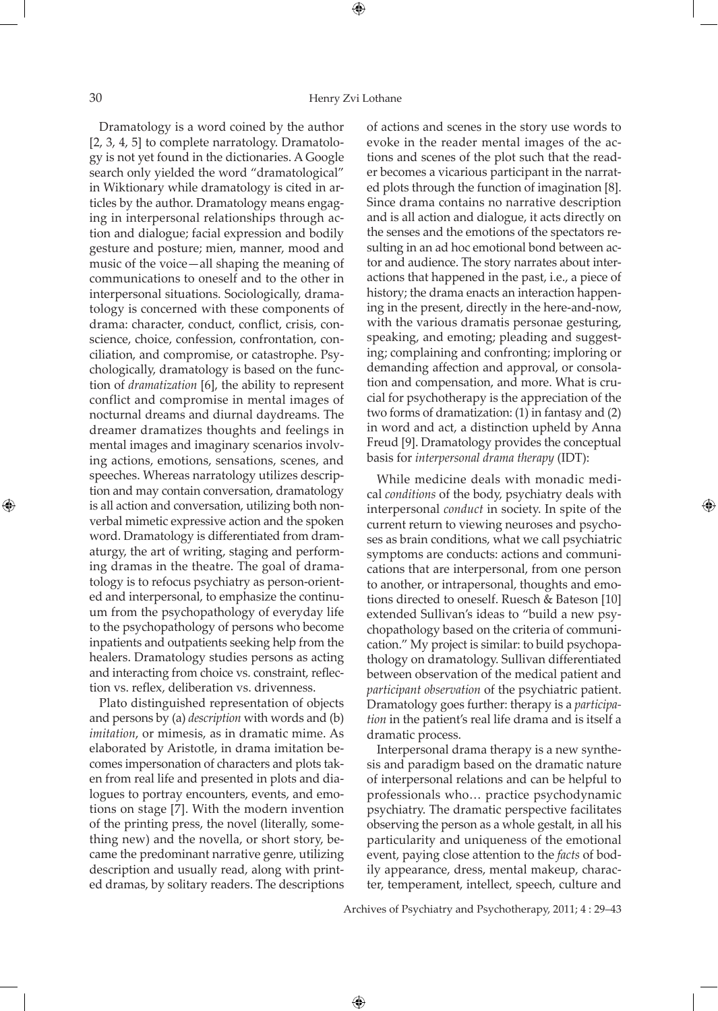Dramatology is a word coined by the author [2, 3, 4, 5] to complete narratology. Dramatology is not yet found in the dictionaries. A Google search only yielded the word "dramatological" in Wiktionary while dramatology is cited in articles by the author. Dramatology means engaging in interpersonal relationships through action and dialogue; facial expression and bodily gesture and posture; mien, manner, mood and music of the voice—all shaping the meaning of communications to oneself and to the other in interpersonal situations. Sociologically, dramatology is concerned with these components of drama: character, conduct, conflict, crisis, conscience, choice, confession, confrontation, conciliation, and compromise, or catastrophe. Psychologically, dramatology is based on the function of *dramatization* [6], the ability to represent conflict and compromise in mental images of nocturnal dreams and diurnal daydreams. The dreamer dramatizes thoughts and feelings in mental images and imaginary scenarios involving actions, emotions, sensations, scenes, and speeches. Whereas narratology utilizes description and may contain conversation, dramatology is all action and conversation, utilizing both nonverbal mimetic expressive action and the spoken word. Dramatology is differentiated from dramaturgy, the art of writing, staging and performing dramas in the theatre. The goal of dramatology is to refocus psychiatry as person-oriented and interpersonal, to emphasize the continuum from the psychopathology of everyday life to the psychopathology of persons who become inpatients and outpatients seeking help from the healers. Dramatology studies persons as acting and interacting from choice vs. constraint, reflection vs. reflex, deliberation vs. drivenness.

Plato distinguished representation of objects and persons by (a) *description* with words and (b) *imitation*, or mimesis, as in dramatic mime. As elaborated by Aristotle, in drama imitation becomes impersonation of characters and plots taken from real life and presented in plots and dialogues to portray encounters, events, and emotions on stage [7]. With the modern invention of the printing press, the novel (literally, something new) and the novella, or short story, became the predominant narrative genre, utilizing description and usually read, along with printed dramas, by solitary readers. The descriptions of actions and scenes in the story use words to evoke in the reader mental images of the actions and scenes of the plot such that the reader becomes a vicarious participant in the narrated plots through the function of imagination [8]. Since drama contains no narrative description and is all action and dialogue, it acts directly on the senses and the emotions of the spectators resulting in an ad hoc emotional bond between actor and audience. The story narrates about interactions that happened in the past, i.e., a piece of history; the drama enacts an interaction happening in the present, directly in the here-and-now, with the various dramatis personae gesturing, speaking, and emoting; pleading and suggesting; complaining and confronting; imploring or demanding affection and approval, or consolation and compensation, and more. What is crucial for psychotherapy is the appreciation of the two forms of dramatization: (1) in fantasy and (2) in word and act, a distinction upheld by Anna Freud [9]. Dramatology provides the conceptual basis for *interpersonal drama therapy* (IDT):

While medicine deals with monadic medical *conditions* of the body, psychiatry deals with interpersonal *conduct* in society. In spite of the current return to viewing neuroses and psychoses as brain conditions, what we call psychiatric symptoms are conducts: actions and communications that are interpersonal, from one person to another, or intrapersonal, thoughts and emotions directed to oneself. Ruesch & Bateson [10] extended Sullivan's ideas to "build a new psychopathology based on the criteria of communication." My project is similar: to build psychopathology on dramatology. Sullivan differentiated between observation of the medical patient and *participant observation* of the psychiatric patient. Dramatology goes further: therapy is a *participation* in the patient's real life drama and is itself a dramatic process.

Interpersonal drama therapy is a new synthesis and paradigm based on the dramatic nature of interpersonal relations and can be helpful to professionals who… practice psychodynamic psychiatry. The dramatic perspective facilitates observing the person as a whole gestalt, in all his particularity and uniqueness of the emotional event, paying close attention to the *facts* of bodily appearance, dress, mental makeup, character, temperament, intellect, speech, culture and

Archives of Psychiatry and Psychotherapy, 2011; 4 : 29–43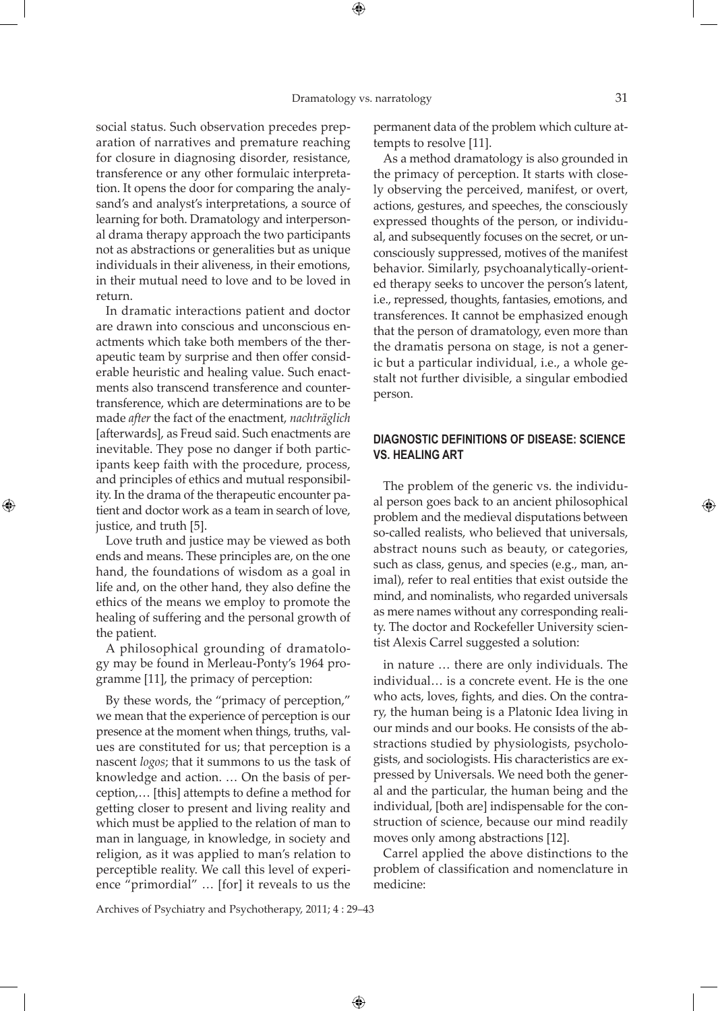social status. Such observation precedes preparation of narratives and premature reaching for closure in diagnosing disorder, resistance, transference or any other formulaic interpretation. It opens the door for comparing the analysand's and analyst's interpretations, a source of learning for both. Dramatology and interpersonal drama therapy approach the two participants not as abstractions or generalities but as unique individuals in their aliveness, in their emotions, in their mutual need to love and to be loved in

return.

⊕

In dramatic interactions patient and doctor are drawn into conscious and unconscious enactments which take both members of the therapeutic team by surprise and then offer considerable heuristic and healing value. Such enactments also transcend transference and countertransference, which are determinations are to be made *after* the fact of the enactment, *nachträglich*  [afterwards], as Freud said. Such enactments are inevitable. They pose no danger if both participants keep faith with the procedure, process, and principles of ethics and mutual responsibility. In the drama of the therapeutic encounter patient and doctor work as a team in search of love, justice, and truth [5].

Love truth and justice may be viewed as both ends and means. These principles are, on the one hand, the foundations of wisdom as a goal in life and, on the other hand, they also define the ethics of the means we employ to promote the healing of suffering and the personal growth of the patient.

A philosophical grounding of dramatology may be found in Merleau-Ponty's 1964 programme [11], the primacy of perception:

By these words, the "primacy of perception," we mean that the experience of perception is our presence at the moment when things, truths, values are constituted for us; that perception is a nascent *logos*; that it summons to us the task of knowledge and action. … On the basis of perception,… [this] attempts to define a method for getting closer to present and living reality and which must be applied to the relation of man to man in language, in knowledge, in society and religion, as it was applied to man's relation to perceptible reality. We call this level of experience "primordial" … [for] it reveals to us the

permanent data of the problem which culture attempts to resolve [11].

As a method dramatology is also grounded in the primacy of perception. It starts with closely observing the perceived, manifest, or overt, actions, gestures, and speeches, the consciously expressed thoughts of the person, or individual, and subsequently focuses on the secret, or unconsciously suppressed, motives of the manifest behavior. Similarly, psychoanalytically-oriented therapy seeks to uncover the person's latent, i.e., repressed, thoughts, fantasies, emotions, and transferences. It cannot be emphasized enough that the person of dramatology, even more than the dramatis persona on stage, is not a generic but a particular individual, i.e., a whole gestalt not further divisible, a singular embodied person.

### **Diagnostic definitions of disease: science vs. healing art**

The problem of the generic vs. the individual person goes back to an ancient philosophical problem and the medieval disputations between so-called realists, who believed that universals, abstract nouns such as beauty, or categories, such as class, genus, and species (e.g., man, animal), refer to real entities that exist outside the mind, and nominalists, who regarded universals as mere names without any corresponding reality. The doctor and Rockefeller University scientist Alexis Carrel suggested a solution:

in nature … there are only individuals. The individual… is a concrete event. He is the one who acts, loves, fights, and dies. On the contrary, the human being is a Platonic Idea living in our minds and our books. He consists of the abstractions studied by physiologists, psychologists, and sociologists. His characteristics are expressed by Universals. We need both the general and the particular, the human being and the individual, [both are] indispensable for the construction of science, because our mind readily moves only among abstractions [12].

Carrel applied the above distinctions to the problem of classification and nomenclature in medicine:

Archives of Psychiatry and Psychotherapy, 2011; 4 : 29–43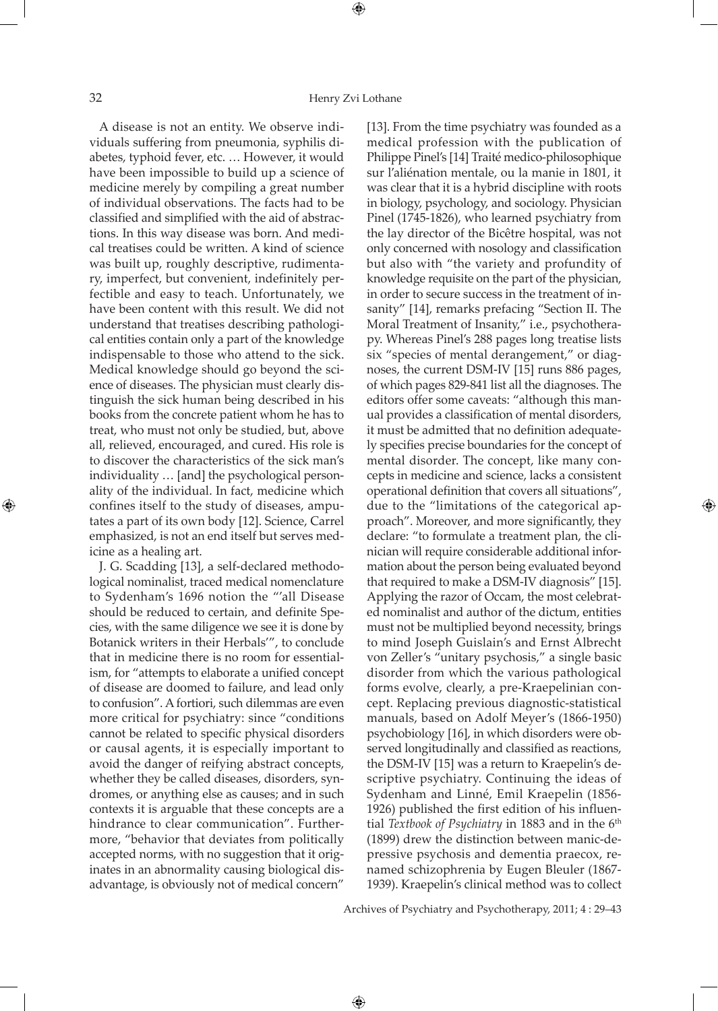A disease is not an entity. We observe individuals suffering from pneumonia, syphilis diabetes, typhoid fever, etc. … However, it would have been impossible to build up a science of medicine merely by compiling a great number of individual observations. The facts had to be classified and simplified with the aid of abstractions. In this way disease was born. And medical treatises could be written. A kind of science was built up, roughly descriptive, rudimentary, imperfect, but convenient, indefinitely perfectible and easy to teach. Unfortunately, we have been content with this result. We did not understand that treatises describing pathological entities contain only a part of the knowledge indispensable to those who attend to the sick. Medical knowledge should go beyond the science of diseases. The physician must clearly distinguish the sick human being described in his books from the concrete patient whom he has to treat, who must not only be studied, but, above all, relieved, encouraged, and cured. His role is to discover the characteristics of the sick man's individuality … [and] the psychological personality of the individual. In fact, medicine which confines itself to the study of diseases, amputates a part of its own body [12]. Science, Carrel emphasized, is not an end itself but serves medicine as a healing art.

J. G. Scadding [13], a self-declared methodological nominalist, traced medical nomenclature to Sydenham's 1696 notion the "'all Disease should be reduced to certain, and definite Species, with the same diligence we see it is done by Botanick writers in their Herbals'", to conclude that in medicine there is no room for essentialism, for "attempts to elaborate a unified concept of disease are doomed to failure, and lead only to confusion". A fortiori, such dilemmas are even more critical for psychiatry: since "conditions cannot be related to specific physical disorders or causal agents, it is especially important to avoid the danger of reifying abstract concepts, whether they be called diseases, disorders, syndromes, or anything else as causes; and in such contexts it is arguable that these concepts are a hindrance to clear communication". Furthermore, "behavior that deviates from politically accepted norms, with no suggestion that it originates in an abnormality causing biological disadvantage, is obviously not of medical concern"

[13]. From the time psychiatry was founded as a medical profession with the publication of Philippe Pinel's [14] Traité medico-philosophique sur l'aliénation mentale, ou la manie in 1801, it was clear that it is a hybrid discipline with roots in biology, psychology, and sociology. Physician Pinel (1745-1826), who learned psychiatry from the lay director of the Bicêtre hospital, was not only concerned with nosology and classification but also with "the variety and profundity of knowledge requisite on the part of the physician, in order to secure success in the treatment of insanity" [14], remarks prefacing "Section II. The Moral Treatment of Insanity," i.e., psychotherapy. Whereas Pinel's 288 pages long treatise lists six "species of mental derangement," or diagnoses, the current DSM-IV [15] runs 886 pages, of which pages 829-841 list all the diagnoses. The editors offer some caveats: "although this manual provides a classification of mental disorders, it must be admitted that no definition adequately specifies precise boundaries for the concept of mental disorder. The concept, like many concepts in medicine and science, lacks a consistent operational definition that covers all situations", due to the "limitations of the categorical approach". Moreover, and more significantly, they declare: "to formulate a treatment plan, the clinician will require considerable additional information about the person being evaluated beyond that required to make a DSM-IV diagnosis" [15]. Applying the razor of Occam, the most celebrated nominalist and author of the dictum, entities must not be multiplied beyond necessity, brings to mind Joseph Guislain's and Ernst Albrecht von Zeller's "unitary psychosis," a single basic disorder from which the various pathological forms evolve, clearly, a pre-Kraepelinian concept. Replacing previous diagnostic-statistical manuals, based on Adolf Meyer's (1866-1950) psychobiology [16], in which disorders were observed longitudinally and classified as reactions, the DSM-IV [15] was a return to Kraepelin's descriptive psychiatry. Continuing the ideas of Sydenham and Linné, Emil Kraepelin (1856- 1926) published the first edition of his influential *Textbook of Psychiatry* in 1883 and in the 6<sup>th</sup> (1899) drew the distinction between manic-depressive psychosis and dementia praecox, renamed schizophrenia by Eugen Bleuler (1867- 1939). Kraepelin's clinical method was to collect

Archives of Psychiatry and Psychotherapy, 2011; 4 : 29–43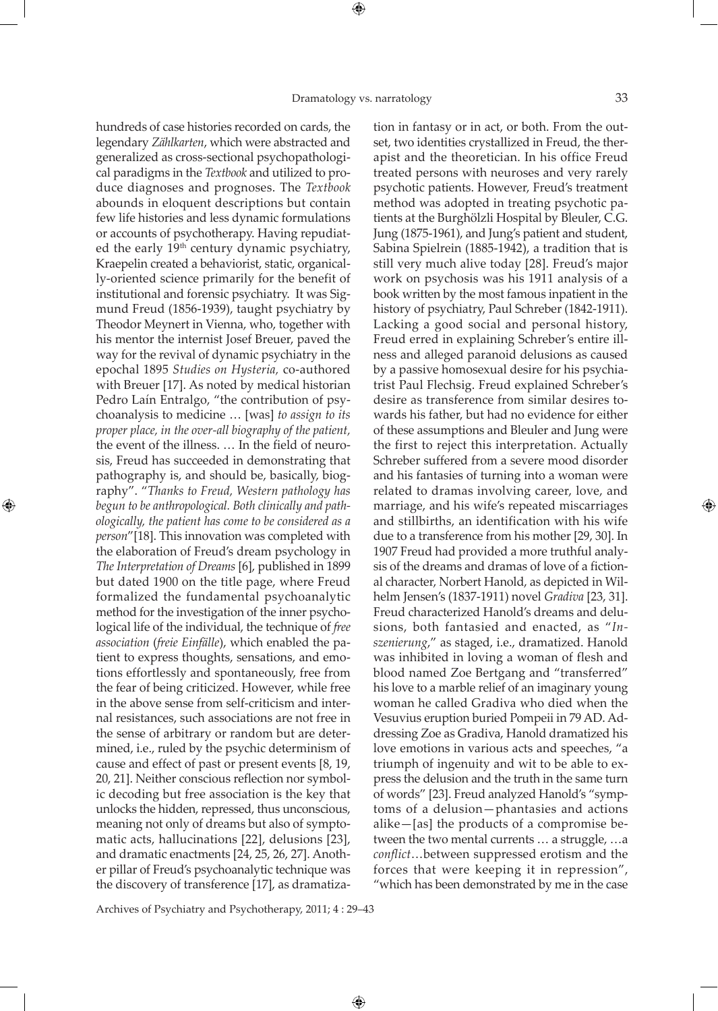hundreds of case histories recorded on cards, the legendary *Zählkarten*, which were abstracted and generalized as cross-sectional psychopathological paradigms in the *Textbook* and utilized to produce diagnoses and prognoses. The *Textbook* abounds in eloquent descriptions but contain few life histories and less dynamic formulations or accounts of psychotherapy. Having repudiated the early  $19<sup>th</sup>$  century dynamic psychiatry, Kraepelin created a behaviorist, static, organically-oriented science primarily for the benefit of institutional and forensic psychiatry. It was Sigmund Freud (1856-1939), taught psychiatry by Theodor Meynert in Vienna, who, together with his mentor the internist Josef Breuer, paved the way for the revival of dynamic psychiatry in the epochal 1895 *Studies on Hysteria,* co-authored with Breuer [17]. As noted by medical historian Pedro Laín Entralgo, "the contribution of psychoanalysis to medicine … [was] *to assign to its proper place, in the over-all biography of the patient,*  the event of the illness. … In the field of neurosis, Freud has succeeded in demonstrating that pathography is, and should be, basically, biography". "*Thanks to Freud, Western pathology has begun to be anthropological. Both clinically and pathologically, the patient has come to be considered as a person*"[18]. This innovation was completed with the elaboration of Freud's dream psychology in *The Interpretation of Dreams* [6], published in 1899 but dated 1900 on the title page, where Freud formalized the fundamental psychoanalytic method for the investigation of the inner psychological life of the individual, the technique of *free association* (*freie Einfälle*), which enabled the patient to express thoughts, sensations, and emotions effortlessly and spontaneously, free from the fear of being criticized. However, while free in the above sense from self-criticism and internal resistances, such associations are not free in the sense of arbitrary or random but are determined, i.e., ruled by the psychic determinism of cause and effect of past or present events [8, 19, 20, 21]. Neither conscious reflection nor symbol-

⊕

tion in fantasy or in act, or both. From the outset, two identities crystallized in Freud, the therapist and the theoretician. In his office Freud treated persons with neuroses and very rarely psychotic patients. However, Freud's treatment method was adopted in treating psychotic patients at the Burghölzli Hospital by Bleuler, C.G. Jung (1875-1961), and Jung's patient and student, Sabina Spielrein (1885-1942), a tradition that is still very much alive today [28]. Freud's major work on psychosis was his 1911 analysis of a book written by the most famous inpatient in the history of psychiatry, Paul Schreber (1842-1911). Lacking a good social and personal history, Freud erred in explaining Schreber's entire illness and alleged paranoid delusions as caused by a passive homosexual desire for his psychiatrist Paul Flechsig. Freud explained Schreber's desire as transference from similar desires towards his father, but had no evidence for either of these assumptions and Bleuler and Jung were the first to reject this interpretation. Actually Schreber suffered from a severe mood disorder and his fantasies of turning into a woman were related to dramas involving career, love, and marriage, and his wife's repeated miscarriages and stillbirths, an identification with his wife due to a transference from his mother [29, 30]. In 1907 Freud had provided a more truthful analysis of the dreams and dramas of love of a fictional character, Norbert Hanold, as depicted in Wilhelm Jensen's (1837-1911) novel *Gradiva* [23, 31]. Freud characterized Hanold's dreams and delusions, both fantasied and enacted, as "*Inszenierung*," as staged, i.e., dramatized. Hanold was inhibited in loving a woman of flesh and blood named Zoe Bertgang and "transferred" his love to a marble relief of an imaginary young woman he called Gradiva who died when the Vesuvius eruption buried Pompeii in 79 AD. Addressing Zoe as Gradiva, Hanold dramatized his love emotions in various acts and speeches, "a triumph of ingenuity and wit to be able to express the delusion and the truth in the same turn of words" [23]. Freud analyzed Hanold's "symptoms of a delusion—phantasies and actions alike—[as] the products of a compromise between the two mental currents … a struggle, …a *conflict*…between suppressed erotism and the forces that were keeping it in repression", "which has been demonstrated by me in the case

Archives of Psychiatry and Psychotherapy, 2011; 4 : 29–43

 $\bigoplus$ 

ic decoding but free association is the key that unlocks the hidden, repressed, thus unconscious, meaning not only of dreams but also of symptomatic acts, hallucinations [22], delusions [23], and dramatic enactments [24, 25, 26, 27]. Another pillar of Freud's psychoanalytic technique was the discovery of transference [17], as dramatiza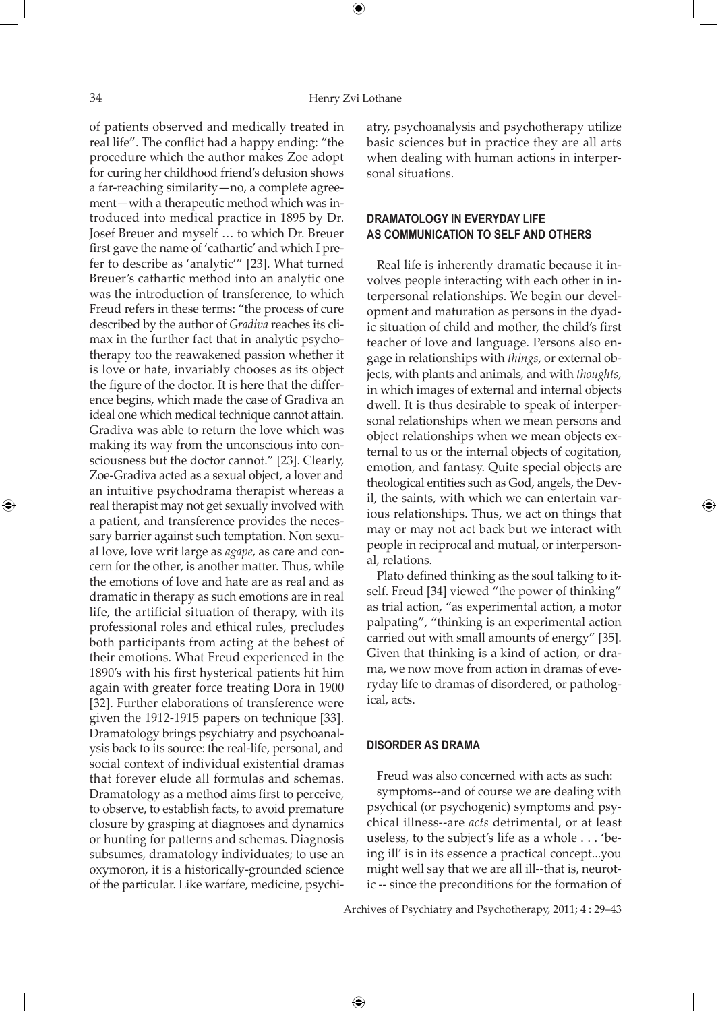of patients observed and medically treated in real life". The conflict had a happy ending: "the procedure which the author makes Zoe adopt for curing her childhood friend's delusion shows a far-reaching similarity—no, a complete agreement—with a therapeutic method which was introduced into medical practice in 1895 by Dr. Josef Breuer and myself … to which Dr. Breuer first gave the name of 'cathartic' and which I prefer to describe as 'analytic'" [23]. What turned Breuer's cathartic method into an analytic one was the introduction of transference, to which Freud refers in these terms: "the process of cure described by the author of *Gradiva* reaches its climax in the further fact that in analytic psychotherapy too the reawakened passion whether it is love or hate, invariably chooses as its object the figure of the doctor. It is here that the difference begins, which made the case of Gradiva an ideal one which medical technique cannot attain. Gradiva was able to return the love which was making its way from the unconscious into consciousness but the doctor cannot." [23]. Clearly, Zoe-Gradiva acted as a sexual object, a lover and an intuitive psychodrama therapist whereas a real therapist may not get sexually involved with a patient, and transference provides the necessary barrier against such temptation. Non sexual love, love writ large as *agape*, as care and concern for the other, is another matter. Thus, while the emotions of love and hate are as real and as dramatic in therapy as such emotions are in real life, the artificial situation of therapy, with its professional roles and ethical rules, precludes both participants from acting at the behest of their emotions. What Freud experienced in the 1890's with his first hysterical patients hit him again with greater force treating Dora in 1900 [32]. Further elaborations of transference were given the 1912-1915 papers on technique [33]. Dramatology brings psychiatry and psychoanalysis back to its source: the real-life, personal, and social context of individual existential dramas that forever elude all formulas and schemas. Dramatology as a method aims first to perceive, to observe, to establish facts, to avoid premature closure by grasping at diagnoses and dynamics or hunting for patterns and schemas. Diagnosis subsumes, dramatology individuates; to use an oxymoron, it is a historically-grounded science of the particular. Like warfare, medicine, psychiatry, psychoanalysis and psychotherapy utilize basic sciences but in practice they are all arts when dealing with human actions in interpersonal situations.

## **Dramatology in everyday life as communication to self and others**

Real life is inherently dramatic because it involves people interacting with each other in interpersonal relationships. We begin our development and maturation as persons in the dyadic situation of child and mother, the child's first teacher of love and language. Persons also engage in relationships with *things*, or external objects, with plants and animals, and with *thoughts*, in which images of external and internal objects dwell. It is thus desirable to speak of interpersonal relationships when we mean persons and object relationships when we mean objects external to us or the internal objects of cogitation, emotion, and fantasy. Quite special objects are theological entities such as God, angels, the Devil, the saints, with which we can entertain various relationships. Thus, we act on things that may or may not act back but we interact with people in reciprocal and mutual, or interpersonal, relations.

Plato defined thinking as the soul talking to itself. Freud [34] viewed "the power of thinking" as trial action, "as experimental action, a motor palpating", "thinking is an experimental action carried out with small amounts of energy" [35]. Given that thinking is a kind of action, or drama, we now move from action in dramas of everyday life to dramas of disordered, or pathological, acts.

#### **Disorder as drama**

 $\bigoplus$ 

Freud was also concerned with acts as such: symptoms--and of course we are dealing with psychical (or psychogenic) symptoms and psychical illness--are *acts* detrimental, or at least useless, to the subject's life as a whole . . . 'being ill' is in its essence a practical concept...you might well say that we are all ill--that is, neurotic -- since the preconditions for the formation of

Archives of Psychiatry and Psychotherapy, 2011; 4 : 29–43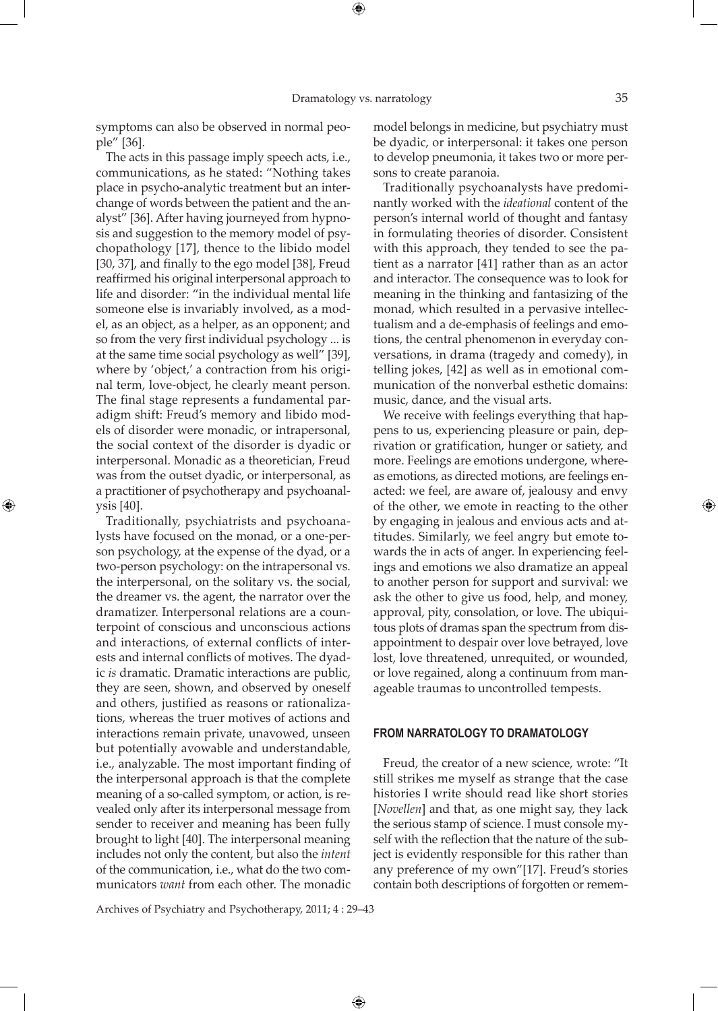symptoms can also be observed in normal people" [36].

The acts in this passage imply speech acts, i.e., communications, as he stated: "Nothing takes place in psycho-analytic treatment but an interchange of words between the patient and the analyst" [36]. After having journeyed from hypnosis and suggestion to the memory model of psychopathology [17], thence to the libido model [30, 37], and finally to the ego model [38], Freud reaffirmed his original interpersonal approach to life and disorder: "in the individual mental life someone else is invariably involved, as a model, as an object, as a helper, as an opponent; and so from the very first individual psychology ... is at the same time social psychology as well" [39], where by 'object,' a contraction from his original term, love-object, he clearly meant person. The final stage represents a fundamental paradigm shift: Freud's memory and libido models of disorder were monadic, or intrapersonal, the social context of the disorder is dyadic or interpersonal. Monadic as a theoretician, Freud was from the outset dyadic, or interpersonal, as a practitioner of psychotherapy and psychoanalysis [40].

⊕

Traditionally, psychiatrists and psychoanalysts have focused on the monad, or a one-person psychology, at the expense of the dyad, or a two-person psychology: on the intrapersonal vs. the interpersonal, on the solitary vs. the social, the dreamer vs. the agent, the narrator over the dramatizer. Interpersonal relations are a counterpoint of conscious and unconscious actions and interactions, of external conflicts of interests and internal conflicts of motives. The dyadic *is* dramatic. Dramatic interactions are public, they are seen, shown, and observed by oneself and others, justified as reasons or rationalizations, whereas the truer motives of actions and interactions remain private, unavowed, unseen but potentially avowable and understandable, i.e., analyzable. The most important finding of the interpersonal approach is that the complete meaning of a so-called symptom, or action, is revealed only after its interpersonal message from sender to receiver and meaning has been fully brought to light [40]. The interpersonal meaning includes not only the content, but also the *intent* of the communication, i.e., what do the two communicators *want* from each other. The monadic

model belongs in medicine, but psychiatry must be dyadic, or interpersonal: it takes one person to develop pneumonia, it takes two or more persons to create paranoia.

Traditionally psychoanalysts have predominantly worked with the *ideational* content of the person's internal world of thought and fantasy in formulating theories of disorder. Consistent with this approach, they tended to see the patient as a narrator [41] rather than as an actor and interactor. The consequence was to look for meaning in the thinking and fantasizing of the monad, which resulted in a pervasive intellectualism and a de-emphasis of feelings and emotions, the central phenomenon in everyday conversations, in drama (tragedy and comedy), in telling jokes, [42] as well as in emotional communication of the nonverbal esthetic domains: music, dance, and the visual arts.

We receive with feelings everything that happens to us, experiencing pleasure or pain, deprivation or gratification, hunger or satiety, and more. Feelings are emotions undergone, whereas emotions, as directed motions, are feelings enacted: we feel, are aware of, jealousy and envy of the other, we emote in reacting to the other by engaging in jealous and envious acts and attitudes. Similarly, we feel angry but emote towards the in acts of anger. In experiencing feelings and emotions we also dramatize an appeal to another person for support and survival: we ask the other to give us food, help, and money, approval, pity, consolation, or love. The ubiquitous plots of dramas span the spectrum from disappointment to despair over love betrayed, love lost, love threatened, unrequited, or wounded, or love regained, along a continuum from manageable traumas to uncontrolled tempests.

#### **From narratology to dramatology**

Freud, the creator of a new science, wrote: "It still strikes me myself as strange that the case histories I write should read like short stories [*Novellen*] and that, as one might say, they lack the serious stamp of science. I must console myself with the reflection that the nature of the subject is evidently responsible for this rather than any preference of my own"[17]. Freud's stories contain both descriptions of forgotten or remem-

Archives of Psychiatry and Psychotherapy, 2011; 4 : 29–43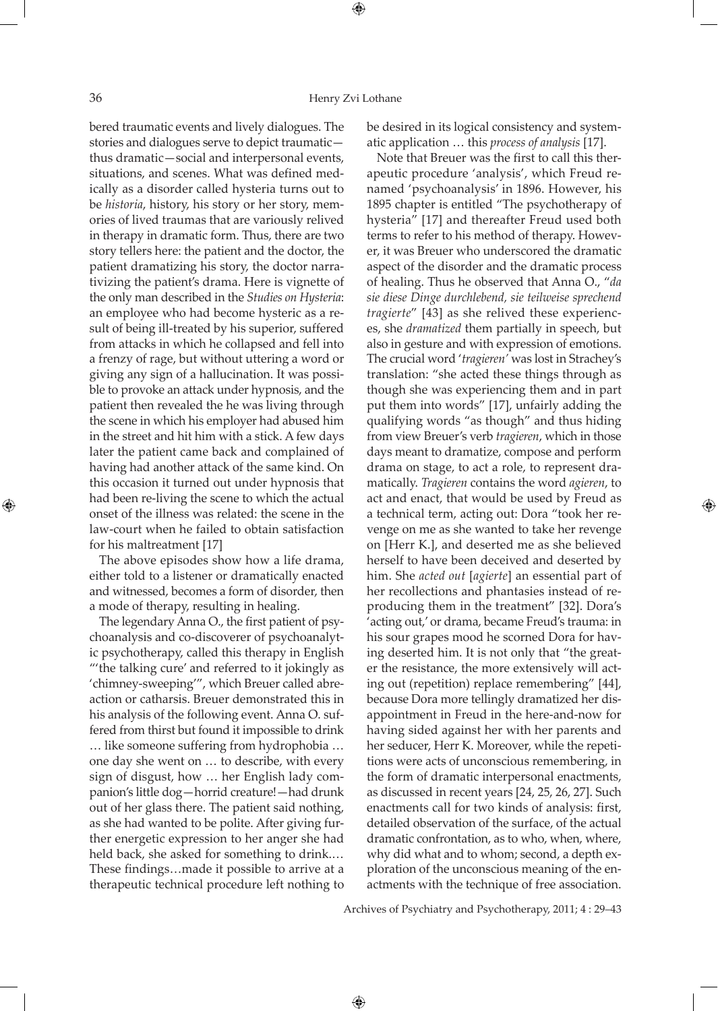bered traumatic events and lively dialogues. The stories and dialogues serve to depict traumatic thus dramatic—social and interpersonal events, situations, and scenes. What was defined medically as a disorder called hysteria turns out to be *historia*, history, his story or her story, memories of lived traumas that are variously relived in therapy in dramatic form. Thus, there are two story tellers here: the patient and the doctor, the patient dramatizing his story, the doctor narrativizing the patient's drama. Here is vignette of the only man described in the *Studies on Hysteria*: an employee who had become hysteric as a result of being ill-treated by his superior, suffered from attacks in which he collapsed and fell into a frenzy of rage, but without uttering a word or giving any sign of a hallucination. It was possible to provoke an attack under hypnosis, and the patient then revealed the he was living through the scene in which his employer had abused him in the street and hit him with a stick. A few days later the patient came back and complained of having had another attack of the same kind. On this occasion it turned out under hypnosis that had been re-living the scene to which the actual onset of the illness was related: the scene in the law-court when he failed to obtain satisfaction for his maltreatment [17]

The above episodes show how a life drama, either told to a listener or dramatically enacted and witnessed, becomes a form of disorder, then a mode of therapy, resulting in healing.

The legendary Anna O., the first patient of psychoanalysis and co-discoverer of psychoanalytic psychotherapy, called this therapy in English "'the talking cure' and referred to it jokingly as 'chimney-sweeping'", which Breuer called abreaction or catharsis. Breuer demonstrated this in his analysis of the following event. Anna O. suffered from thirst but found it impossible to drink … like someone suffering from hydrophobia … one day she went on … to describe, with every sign of disgust, how … her English lady companion's little dog—horrid creature!—had drunk out of her glass there. The patient said nothing, as she had wanted to be polite. After giving further energetic expression to her anger she had held back, she asked for something to drink.… These findings…made it possible to arrive at a therapeutic technical procedure left nothing to

be desired in its logical consistency and systematic application … this *process of analysis* [17].

Note that Breuer was the first to call this therapeutic procedure 'analysis', which Freud renamed 'psychoanalysis' in 1896. However, his 1895 chapter is entitled "The psychotherapy of hysteria" [17] and thereafter Freud used both terms to refer to his method of therapy. However, it was Breuer who underscored the dramatic aspect of the disorder and the dramatic process of healing. Thus he observed that Anna O., "*da sie diese Dinge durchlebend, sie teilweise sprechend tragierte*" [43] as she relived these experiences, she *dramatized* them partially in speech, but also in gesture and with expression of emotions. The crucial word '*tragieren'* was lost in Strachey's translation: "she acted these things through as though she was experiencing them and in part put them into words" [17], unfairly adding the qualifying words "as though" and thus hiding from view Breuer's verb *tragieren*, which in those days meant to dramatize, compose and perform drama on stage, to act a role, to represent dramatically. *Tragieren* contains the word *agieren*, to act and enact, that would be used by Freud as a technical term, acting out: Dora "took her revenge on me as she wanted to take her revenge on [Herr K.], and deserted me as she believed herself to have been deceived and deserted by him. She *acted out* [*agierte*] an essential part of her recollections and phantasies instead of reproducing them in the treatment" [32]. Dora's 'acting out,' or drama, became Freud's trauma: in his sour grapes mood he scorned Dora for having deserted him. It is not only that "the greater the resistance, the more extensively will acting out (repetition) replace remembering" [44], because Dora more tellingly dramatized her disappointment in Freud in the here-and-now for having sided against her with her parents and her seducer, Herr K. Moreover, while the repetitions were acts of unconscious remembering, in the form of dramatic interpersonal enactments, as discussed in recent years [24, 25, 26, 27]. Such enactments call for two kinds of analysis: first, detailed observation of the surface, of the actual dramatic confrontation, as to who, when, where, why did what and to whom; second, a depth exploration of the unconscious meaning of the enactments with the technique of free association.

Archives of Psychiatry and Psychotherapy, 2011; 4 : 29–43

 $\bigoplus$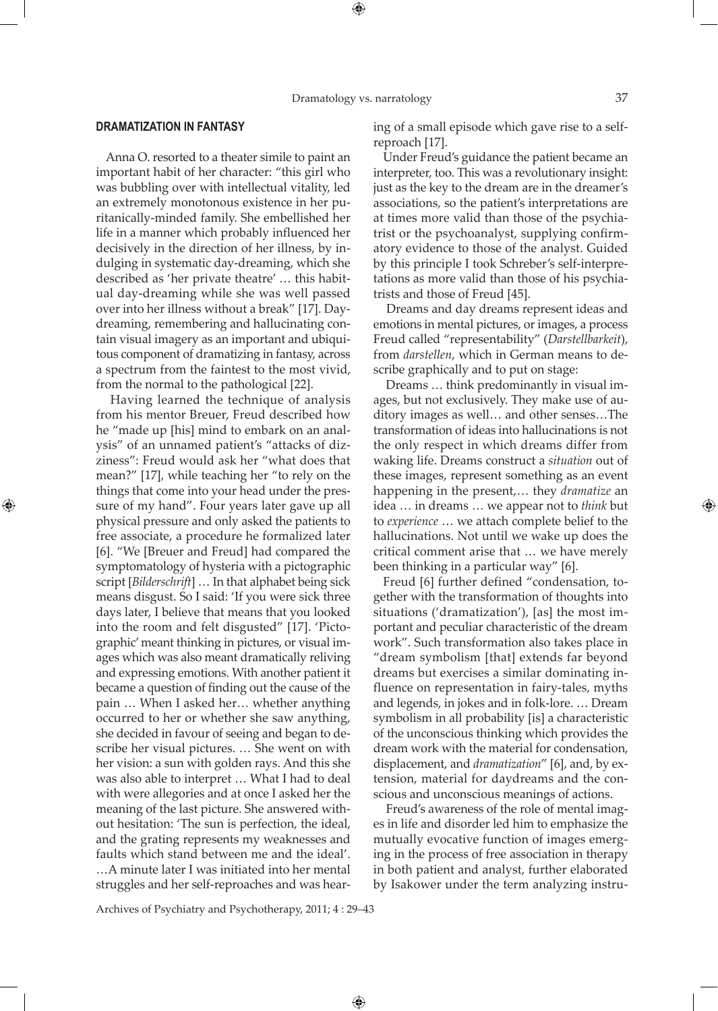Anna O. resorted to a theater simile to paint an important habit of her character: "this girl who was bubbling over with intellectual vitality, led an extremely monotonous existence in her puritanically-minded family. She embellished her life in a manner which probably influenced her decisively in the direction of her illness, by indulging in systematic day-dreaming, which she described as 'her private theatre' … this habitual day-dreaming while she was well passed over into her illness without a break" [17]. Daydreaming, remembering and hallucinating contain visual imagery as an important and ubiquitous component of dramatizing in fantasy, across a spectrum from the faintest to the most vivid, from the normal to the pathological [22].

 Having learned the technique of analysis from his mentor Breuer, Freud described how he "made up [his] mind to embark on an analysis" of an unnamed patient's "attacks of dizziness": Freud would ask her "what does that mean?" [17], while teaching her "to rely on the things that come into your head under the pressure of my hand". Four years later gave up all physical pressure and only asked the patients to free associate, a procedure he formalized later [6]. "We [Breuer and Freud] had compared the symptomatology of hysteria with a pictographic script [*Bilderschrift*] … In that alphabet being sick means disgust. So I said: 'If you were sick three days later, I believe that means that you looked into the room and felt disgusted" [17]. 'Pictographic' meant thinking in pictures, or visual images which was also meant dramatically reliving and expressing emotions. With another patient it became a question of finding out the cause of the pain … When I asked her… whether anything occurred to her or whether she saw anything, she decided in favour of seeing and began to describe her visual pictures. … She went on with her vision: a sun with golden rays. And this she was also able to interpret … What I had to deal with were allegories and at once I asked her the meaning of the last picture. She answered without hesitation: 'The sun is perfection, the ideal, and the grating represents my weaknesses and faults which stand between me and the ideal'. …A minute later I was initiated into her mental struggles and her self-reproaches and was hear-

⊕

ing of a small episode which gave rise to a selfreproach [17].

Under Freud's guidance the patient became an interpreter, too. This was a revolutionary insight: just as the key to the dream are in the dreamer's associations, so the patient's interpretations are at times more valid than those of the psychiatrist or the psychoanalyst, supplying confirmatory evidence to those of the analyst. Guided by this principle I took Schreber's self-interpretations as more valid than those of his psychiatrists and those of Freud [45].

 Dreams and day dreams represent ideas and emotions in mental pictures, or images, a process Freud called "representability" (*Darstellbarkeit*), from *darstellen*, which in German means to describe graphically and to put on stage:

 Dreams … think predominantly in visual images, but not exclusively. They make use of auditory images as well… and other senses…The transformation of ideas into hallucinations is not the only respect in which dreams differ from waking life. Dreams construct a *situation* out of these images, represent something as an event happening in the present,… they *dramatize* an idea … in dreams … we appear not to *think* but to *experience* … we attach complete belief to the hallucinations. Not until we wake up does the critical comment arise that … we have merely been thinking in a particular way" [6].

Freud [6] further defined "condensation, together with the transformation of thoughts into situations ('dramatization'), [as] the most important and peculiar characteristic of the dream work". Such transformation also takes place in "dream symbolism [that] extends far beyond dreams but exercises a similar dominating influence on representation in fairy-tales, myths and legends, in jokes and in folk-lore. … Dream symbolism in all probability [is] a characteristic of the unconscious thinking which provides the dream work with the material for condensation, displacement, and *dramatization*" [6], and, by extension, material for daydreams and the conscious and unconscious meanings of actions.

 Freud's awareness of the role of mental images in life and disorder led him to emphasize the mutually evocative function of images emerging in the process of free association in therapy in both patient and analyst, further elaborated by Isakower under the term analyzing instru-

Archives of Psychiatry and Psychotherapy, 2011; 4 : 29–43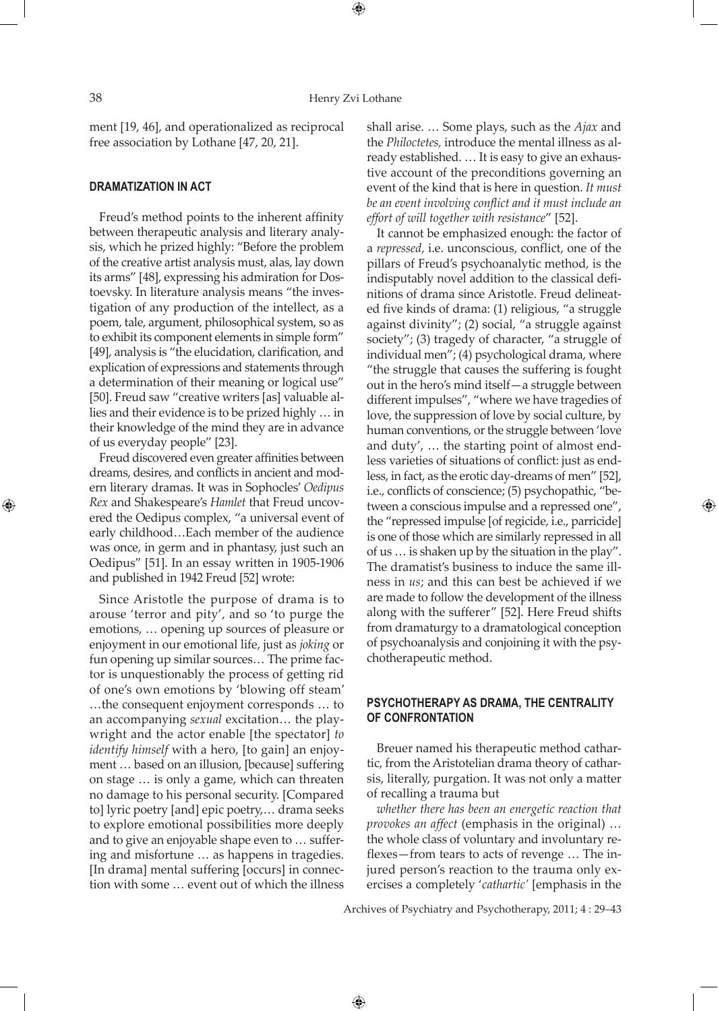⊕

ment [19, 46], and operationalized as reciprocal free association by Lothane [47, 20, 21].

#### **Dramatization in act**

Freud's method points to the inherent affinity between therapeutic analysis and literary analysis, which he prized highly: "Before the problem of the creative artist analysis must, alas, lay down its arms" [48], expressing his admiration for Dostoevsky. In literature analysis means "the investigation of any production of the intellect, as a poem, tale, argument, philosophical system, so as to exhibit its component elements in simple form" [49], analysis is "the elucidation, clarification, and explication of expressions and statements through a determination of their meaning or logical use" [50]. Freud saw "creative writers [as] valuable allies and their evidence is to be prized highly … in their knowledge of the mind they are in advance of us everyday people" [23].

Freud discovered even greater affinities between dreams, desires, and conflicts in ancient and modern literary dramas. It was in Sophocles' *Oedipus Rex* and Shakespeare's *Hamlet* that Freud uncovered the Oedipus complex, "a universal event of early childhood…Each member of the audience was once, in germ and in phantasy, just such an Oedipus" [51]. In an essay written in 1905-1906 and published in 1942 Freud [52] wrote:

Since Aristotle the purpose of drama is to arouse 'terror and pity', and so 'to purge the emotions, … opening up sources of pleasure or enjoyment in our emotional life, just as *joking* or fun opening up similar sources… The prime factor is unquestionably the process of getting rid of one's own emotions by 'blowing off steam' …the consequent enjoyment corresponds … to an accompanying *sexual* excitation… the playwright and the actor enable [the spectator] *to identify himself* with a hero, [to gain] an enjoyment … based on an illusion, [because] suffering on stage … is only a game, which can threaten no damage to his personal security. [Compared to] lyric poetry [and] epic poetry,… drama seeks to explore emotional possibilities more deeply and to give an enjoyable shape even to … suffering and misfortune … as happens in tragedies. [In drama] mental suffering [occurs] in connection with some … event out of which the illness

shall arise. … Some plays, such as the *Ajax* and the *Philoctetes,* introduce the mental illness as already established. … It is easy to give an exhaustive account of the preconditions governing an event of the kind that is here in question. *It must be an event involving conflict and it must include an effort of will together with resistance*" [52].

It cannot be emphasized enough: the factor of a *repressed*, i.e. unconscious, conflict, one of the pillars of Freud's psychoanalytic method, is the indisputably novel addition to the classical definitions of drama since Aristotle. Freud delineated five kinds of drama: (1) religious, "a struggle against divinity"; (2) social, "a struggle against society"; (3) tragedy of character, "a struggle of individual men"; (4) psychological drama, where "the struggle that causes the suffering is fought out in the hero's mind itself—a struggle between different impulses", "where we have tragedies of love, the suppression of love by social culture, by human conventions, or the struggle between 'love and duty', … the starting point of almost endless varieties of situations of conflict: just as endless, in fact, as the erotic day-dreams of men" [52], i.e., conflicts of conscience; (5) psychopathic, "between a conscious impulse and a repressed one", the "repressed impulse [of regicide, i.e., parricide] is one of those which are similarly repressed in all of us … is shaken up by the situation in the play". The dramatist's business to induce the same illness in *us*; and this can best be achieved if we are made to follow the development of the illness along with the sufferer" [52]. Here Freud shifts from dramaturgy to a dramatological conception of psychoanalysis and conjoining it with the psychotherapeutic method.

⊕

### **Psychotherapy as drama, the centrality of confrontation**

Breuer named his therapeutic method cathartic, from the Aristotelian drama theory of catharsis, literally, purgation. It was not only a matter of recalling a trauma but

*whether there has been an energetic reaction that provokes an affect* (emphasis in the original) … the whole class of voluntary and involuntary reflexes—from tears to acts of revenge … The injured person's reaction to the trauma only exercises a completely '*cathartic'* [emphasis in the

Archives of Psychiatry and Psychotherapy, 2011; 4 : 29–43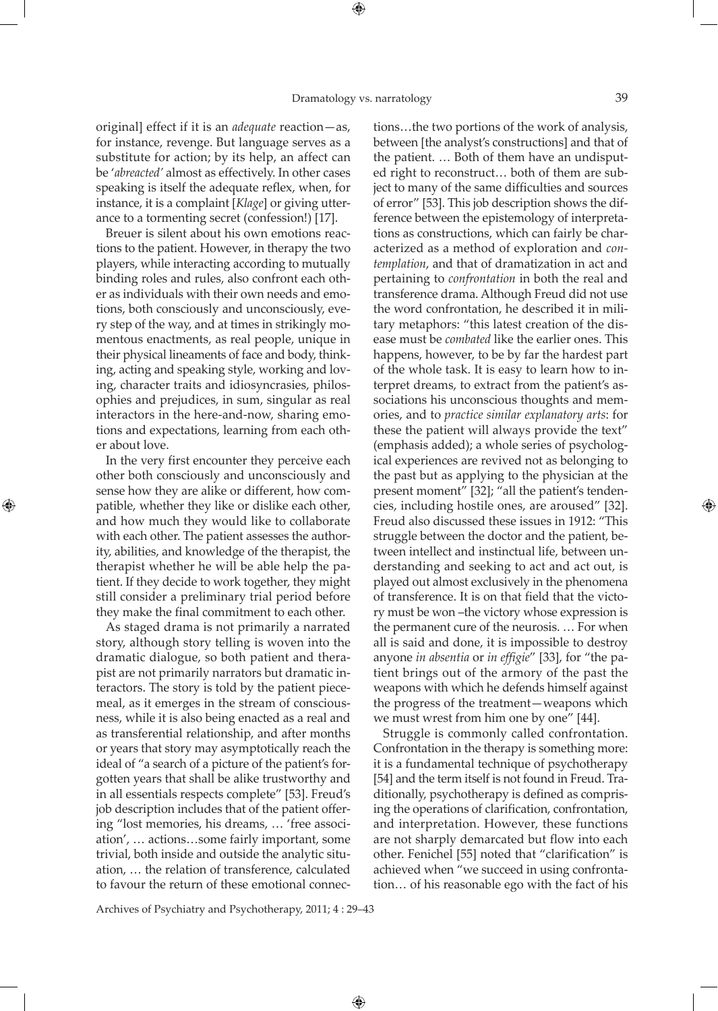original] effect if it is an *adequate* reaction—as, for instance, revenge. But language serves as a substitute for action; by its help, an affect can be '*abreacted'* almost as effectively. In other cases speaking is itself the adequate reflex, when, for instance, it is a complaint [*Klage*] or giving utterance to a tormenting secret (confession!) [17].

Breuer is silent about his own emotions reactions to the patient. However, in therapy the two players, while interacting according to mutually binding roles and rules, also confront each other as individuals with their own needs and emotions, both consciously and unconsciously, every step of the way, and at times in strikingly momentous enactments, as real people, unique in their physical lineaments of face and body, thinking, acting and speaking style, working and loving, character traits and idiosyncrasies, philosophies and prejudices, in sum, singular as real interactors in the here-and-now, sharing emotions and expectations, learning from each other about love.

In the very first encounter they perceive each other both consciously and unconsciously and sense how they are alike or different, how compatible, whether they like or dislike each other, and how much they would like to collaborate with each other. The patient assesses the authority, abilities, and knowledge of the therapist, the therapist whether he will be able help the patient. If they decide to work together, they might still consider a preliminary trial period before they make the final commitment to each other.

⊕

As staged drama is not primarily a narrated story, although story telling is woven into the dramatic dialogue, so both patient and therapist are not primarily narrators but dramatic interactors. The story is told by the patient piecemeal, as it emerges in the stream of consciousness, while it is also being enacted as a real and as transferential relationship, and after months or years that story may asymptotically reach the ideal of "a search of a picture of the patient's forgotten years that shall be alike trustworthy and in all essentials respects complete" [53]. Freud's job description includes that of the patient offering "lost memories, his dreams, … 'free association', … actions…some fairly important, some trivial, both inside and outside the analytic situation, … the relation of transference, calculated to favour the return of these emotional connections…the two portions of the work of analysis, between [the analyst's constructions] and that of the patient. … Both of them have an undisputed right to reconstruct… both of them are subject to many of the same difficulties and sources of error" [53]. This job description shows the difference between the epistemology of interpretations as constructions, which can fairly be characterized as a method of exploration and *contemplation*, and that of dramatization in act and pertaining to *confrontation* in both the real and transference drama. Although Freud did not use the word confrontation, he described it in military metaphors: "this latest creation of the disease must be *combated* like the earlier ones. This happens, however, to be by far the hardest part of the whole task. It is easy to learn how to interpret dreams, to extract from the patient's associations his unconscious thoughts and memories, and to *practice similar explanatory arts*: for these the patient will always provide the text" (emphasis added); a whole series of psychological experiences are revived not as belonging to the past but as applying to the physician at the present moment" [32]; "all the patient's tendencies, including hostile ones, are aroused" [32]. Freud also discussed these issues in 1912: "This struggle between the doctor and the patient, between intellect and instinctual life, between understanding and seeking to act and act out, is played out almost exclusively in the phenomena of transference. It is on that field that the victory must be won –the victory whose expression is the permanent cure of the neurosis. … For when all is said and done, it is impossible to destroy anyone *in absentia* or *in effigie*" [33], for "the patient brings out of the armory of the past the weapons with which he defends himself against the progress of the treatment—weapons which we must wrest from him one by one" [44].

Struggle is commonly called confrontation. Confrontation in the therapy is something more: it is a fundamental technique of psychotherapy [54] and the term itself is not found in Freud. Traditionally, psychotherapy is defined as comprising the operations of clarification, confrontation, and interpretation. However, these functions are not sharply demarcated but flow into each other. Fenichel [55] noted that "clarification" is achieved when "we succeed in using confrontation… of his reasonable ego with the fact of his

Archives of Psychiatry and Psychotherapy, 2011; 4 : 29–43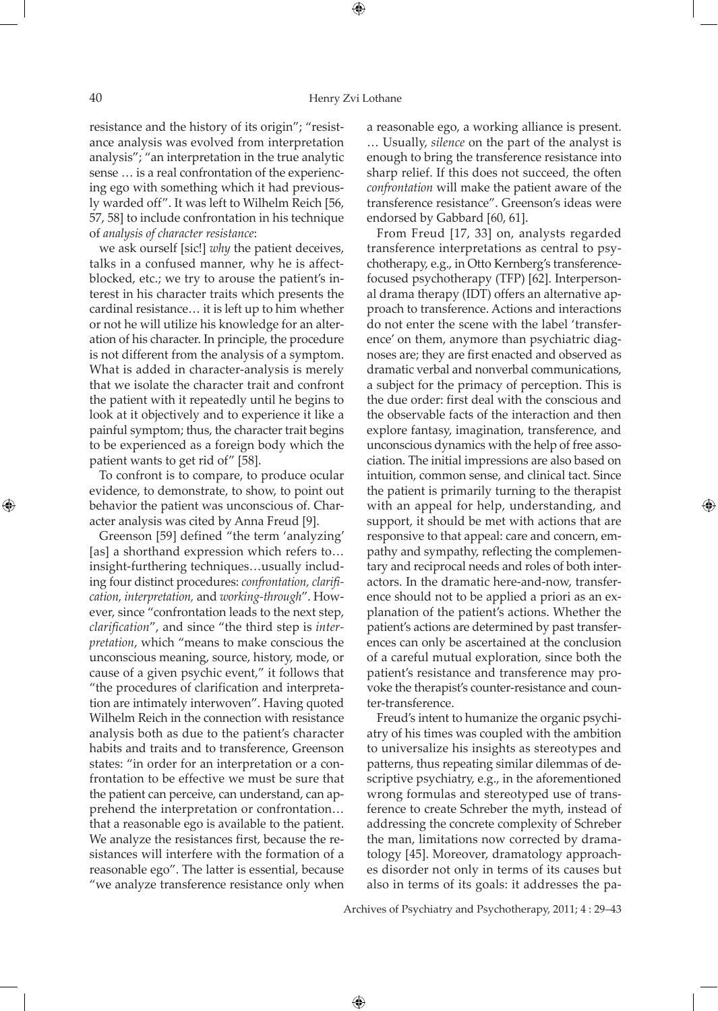resistance and the history of its origin"; "resistance analysis was evolved from interpretation analysis"; "an interpretation in the true analytic sense … is a real confrontation of the experiencing ego with something which it had previously warded off". It was left to Wilhelm Reich [56, 57, 58] to include confrontation in his technique of *analysis of character resistance*:

we ask ourself [sic!] *why* the patient deceives, talks in a confused manner, why he is affectblocked, etc.; we try to arouse the patient's interest in his character traits which presents the cardinal resistance… it is left up to him whether or not he will utilize his knowledge for an alteration of his character. In principle, the procedure is not different from the analysis of a symptom. What is added in character-analysis is merely that we isolate the character trait and confront the patient with it repeatedly until he begins to look at it objectively and to experience it like a painful symptom; thus, the character trait begins to be experienced as a foreign body which the patient wants to get rid of" [58].

To confront is to compare, to produce ocular evidence, to demonstrate, to show, to point out behavior the patient was unconscious of. Character analysis was cited by Anna Freud [9].

Greenson [59] defined "the term 'analyzing' [as] a shorthand expression which refers to… insight-furthering techniques…usually including four distinct procedures: *confrontation, clarification, interpretation,* and *working-through*". However, since "confrontation leads to the next step, *clarification*", and since "the third step is *interpretation*, which "means to make conscious the unconscious meaning, source, history, mode, or cause of a given psychic event," it follows that "the procedures of clarification and interpretation are intimately interwoven". Having quoted Wilhelm Reich in the connection with resistance analysis both as due to the patient's character habits and traits and to transference, Greenson states: "in order for an interpretation or a confrontation to be effective we must be sure that the patient can perceive, can understand, can apprehend the interpretation or confrontation… that a reasonable ego is available to the patient. We analyze the resistances first, because the resistances will interfere with the formation of a reasonable ego". The latter is essential, because "we analyze transference resistance only when

a reasonable ego, a working alliance is present. … Usually, *silence* on the part of the analyst is enough to bring the transference resistance into sharp relief. If this does not succeed, the often *confrontation* will make the patient aware of the transference resistance". Greenson's ideas were endorsed by Gabbard [60, 61].

From Freud [17, 33] on, analysts regarded transference interpretations as central to psychotherapy, e.g., in Otto Kernberg's transferencefocused psychotherapy (TFP) [62]. Interpersonal drama therapy (IDT) offers an alternative approach to transference. Actions and interactions do not enter the scene with the label 'transference' on them, anymore than psychiatric diagnoses are; they are first enacted and observed as dramatic verbal and nonverbal communications, a subject for the primacy of perception. This is the due order: first deal with the conscious and the observable facts of the interaction and then explore fantasy, imagination, transference, and unconscious dynamics with the help of free association. The initial impressions are also based on intuition, common sense, and clinical tact. Since the patient is primarily turning to the therapist with an appeal for help, understanding, and support, it should be met with actions that are responsive to that appeal: care and concern, empathy and sympathy, reflecting the complementary and reciprocal needs and roles of both interactors. In the dramatic here-and-now, transference should not to be applied a priori as an explanation of the patient's actions. Whether the patient's actions are determined by past transferences can only be ascertained at the conclusion of a careful mutual exploration, since both the patient's resistance and transference may provoke the therapist's counter-resistance and counter-transference.

Freud's intent to humanize the organic psychiatry of his times was coupled with the ambition to universalize his insights as stereotypes and patterns, thus repeating similar dilemmas of descriptive psychiatry, e.g., in the aforementioned wrong formulas and stereotyped use of transference to create Schreber the myth, instead of addressing the concrete complexity of Schreber the man, limitations now corrected by dramatology [45]. Moreover, dramatology approaches disorder not only in terms of its causes but also in terms of its goals: it addresses the pa-

Archives of Psychiatry and Psychotherapy, 2011; 4 : 29–43

 $\bigoplus$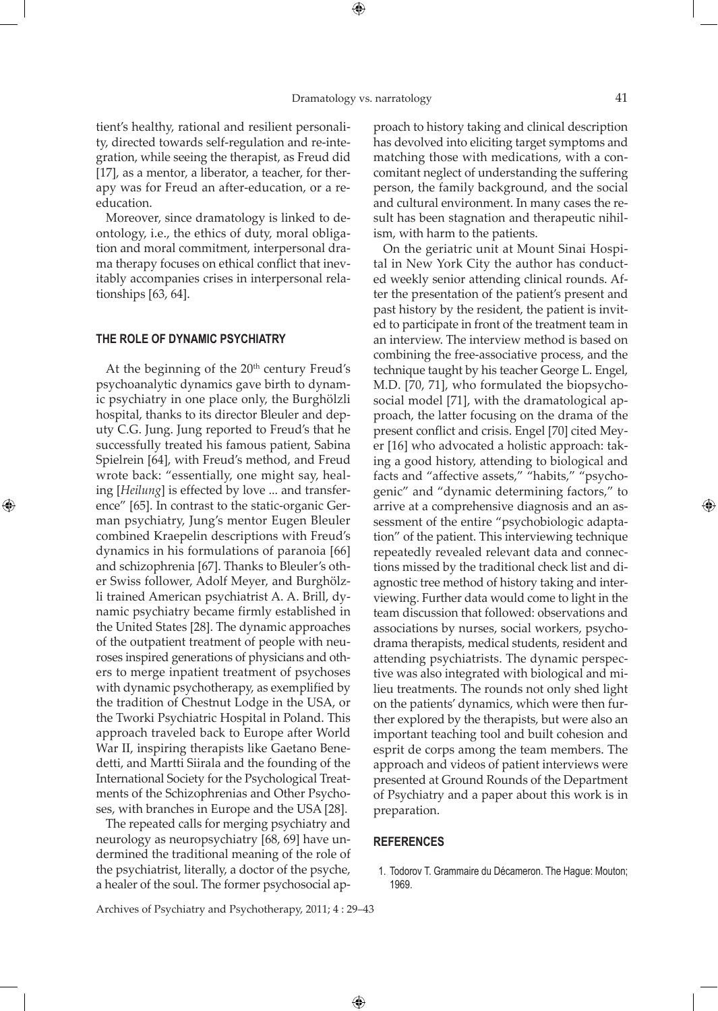⊕

tient's healthy, rational and resilient personality, directed towards self-regulation and re-integration, while seeing the therapist, as Freud did [17], as a mentor, a liberator, a teacher, for therapy was for Freud an after-education, or a reeducation.

Moreover, since dramatology is linked to deontology, i.e., the ethics of duty, moral obligation and moral commitment, interpersonal drama therapy focuses on ethical conflict that inevitably accompanies crises in interpersonal relationships [63, 64].

#### **The role of dynamic psychiatry**

⊕

At the beginning of the 20<sup>th</sup> century Freud's psychoanalytic dynamics gave birth to dynamic psychiatry in one place only, the Burghölzli hospital, thanks to its director Bleuler and deputy C.G. Jung. Jung reported to Freud's that he successfully treated his famous patient, Sabina Spielrein [64], with Freud's method, and Freud wrote back: "essentially, one might say, healing [*Heilung*] is effected by love ... and transference" [65]. In contrast to the static-organic German psychiatry, Jung's mentor Eugen Bleuler combined Kraepelin descriptions with Freud's dynamics in his formulations of paranoia [66] and schizophrenia [67]. Thanks to Bleuler's other Swiss follower, Adolf Meyer, and Burghölzli trained American psychiatrist A. A. Brill, dynamic psychiatry became firmly established in the United States [28]. The dynamic approaches of the outpatient treatment of people with neuroses inspired generations of physicians and others to merge inpatient treatment of psychoses with dynamic psychotherapy, as exemplified by the tradition of Chestnut Lodge in the USA, or the Tworki Psychiatric Hospital in Poland. This approach traveled back to Europe after World War II, inspiring therapists like Gaetano Benedetti, and Martti Siirala and the founding of the International Society for the Psychological Treatments of the Schizophrenias and Other Psychoses, with branches in Europe and the USA [28].

The repeated calls for merging psychiatry and neurology as neuropsychiatry [68, 69] have undermined the traditional meaning of the role of the psychiatrist, literally, a doctor of the psyche, a healer of the soul. The former psychosocial approach to history taking and clinical description has devolved into eliciting target symptoms and matching those with medications, with a concomitant neglect of understanding the suffering person, the family background, and the social and cultural environment. In many cases the result has been stagnation and therapeutic nihilism, with harm to the patients.

On the geriatric unit at Mount Sinai Hospital in New York City the author has conducted weekly senior attending clinical rounds. After the presentation of the patient's present and past history by the resident, the patient is invited to participate in front of the treatment team in an interview. The interview method is based on combining the free-associative process, and the technique taught by his teacher George L. Engel, M.D. [70, 71], who formulated the biopsychosocial model [71], with the dramatological approach, the latter focusing on the drama of the present conflict and crisis. Engel [70] cited Meyer [16] who advocated a holistic approach: taking a good history, attending to biological and facts and "affective assets," "habits," "psychogenic" and "dynamic determining factors," to arrive at a comprehensive diagnosis and an assessment of the entire "psychobiologic adaptation" of the patient. This interviewing technique repeatedly revealed relevant data and connections missed by the traditional check list and diagnostic tree method of history taking and interviewing. Further data would come to light in the team discussion that followed: observations and associations by nurses, social workers, psychodrama therapists, medical students, resident and attending psychiatrists. The dynamic perspective was also integrated with biological and milieu treatments. The rounds not only shed light on the patients' dynamics, which were then further explored by the therapists, but were also an important teaching tool and built cohesion and esprit de corps among the team members. The approach and videos of patient interviews were presented at Ground Rounds of the Department of Psychiatry and a paper about this work is in preparation.

#### **REFERENCES**

 1. Todorov T. Grammaire du Décameron. The Hague: Mouton; 1969.

Archives of Psychiatry and Psychotherapy, 2011; 4 : 29–43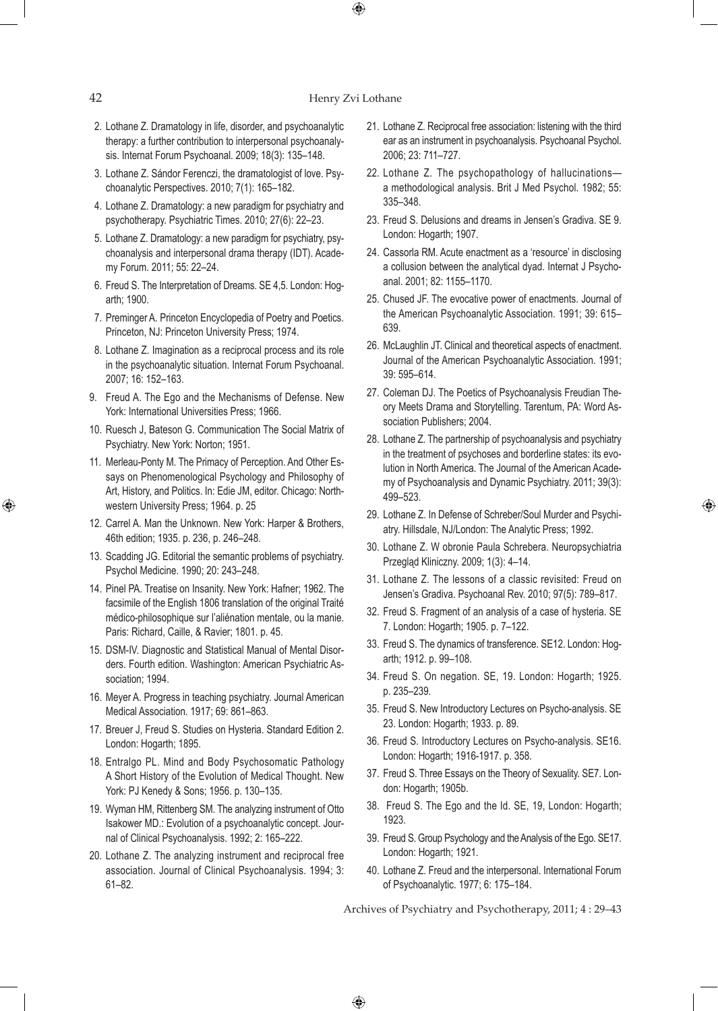#### 42 Henry Zvi Lothane

 $\bigoplus$ 

- 2. Lothane Z. Dramatology in life, disorder, and psychoanalytic therapy: a further contribution to interpersonal psychoanalysis. Internat Forum Psychoanal. 2009; 18(3): 135–148.
- 3. Lothane Z. Sándor Ferenczi, the dramatologist of love. Psychoanalytic Perspectives. 2010; 7(1): 165–182.
- 4. Lothane Z. Dramatology: a new paradigm for psychiatry and psychotherapy. Psychiatric Times. 2010; 27(6): 22–23.
- 5. Lothane Z. Dramatology: a new paradigm for psychiatry, psychoanalysis and interpersonal drama therapy (IDT). Academy Forum. 2011; 55: 22–24.
- 6. Freud S. The Interpretation of Dreams. SE 4,5. London: Hogarth; 1900.
- 7. Preminger A. Princeton Encyclopedia of Poetry and Poetics. Princeton, NJ: Princeton University Press; 1974.
- 8. Lothane Z. Imagination as a reciprocal process and its role in the psychoanalytic situation. Internat Forum Psychoanal. 2007; 16: 152–163.
- 9. Freud A. The Ego and the Mechanisms of Defense. New York: International Universities Press; 1966.
- 10. Ruesch J, Bateson G. Communication The Social Matrix of Psychiatry. New York: Norton; 1951.
- 11. Merleau-Ponty M. The Primacy of Perception. And Other Essays on Phenomenological Psychology and Philosophy of Art, History, and Politics. In: Edie JM, editor. Chicago: Northwestern University Press; 1964. p. 25
- 12. Carrel A. Man the Unknown. New York: Harper & Brothers, 46th edition; 1935. p. 236, p. 246–248.
- 13. Scadding JG. Editorial the semantic problems of psychiatry. Psychol Medicine. 1990; 20: 243–248.
- 14. Pinel PA. Treatise on Insanity. New York: Hafner; 1962. The facsimile of the English 1806 translation of the original Traité médico-philosophique sur l'aliénation mentale, ou la manie. Paris: Richard, Caille, & Ravier; 1801. p. 45.
- 15. DSM-IV. Diagnostic and Statistical Manual of Mental Disorders. Fourth edition. Washington: American Psychiatric Association; 1994.
- 16. Meyer A. Progress in teaching psychiatry. Journal American Medical Association. 1917; 69: 861–863.
- 17. Breuer J, Freud S. Studies on Hysteria. Standard Edition 2. London: Hogarth; 1895.
- 18. Entralgo PL. Mind and Body Psychosomatic Pathology A Short History of the Evolution of Medical Thought. New York: PJ Kenedy & Sons; 1956. p. 130–135.
- 19. Wyman HM, Rittenberg SM. The analyzing instrument of Otto Isakower MD.: Evolution of a psychoanalytic concept. Journal of Clinical Psychoanalysis. 1992; 2: 165–222.
- 20. Lothane Z. The analyzing instrument and reciprocal free association. Journal of Clinical Psychoanalysis. 1994; 3: 61–82.
- 21. Lothane Z. Reciprocal free association: listening with the third ear as an instrument in psychoanalysis. Psychoanal Psychol. 2006; 23: 711–727.
- 22. Lothane Z. The psychopathology of hallucinations a methodological analysis. Brit J Med Psychol. 1982; 55: 335–348.
- 23. Freud S. Delusions and dreams in Jensen's Gradiva. SE 9. London: Hogarth; 1907.
- 24. Cassorla RM. Acute enactment as a 'resource' in disclosing a collusion between the analytical dyad. Internat J Psychoanal. 2001; 82: 1155–1170.
- 25. Chused JF. The evocative power of enactments. Journal of the American Psychoanalytic Association. 1991; 39: 615– 639.
- 26. McLaughlin JT. Clinical and theoretical aspects of enactment. Journal of the American Psychoanalytic Association. 1991; 39: 595–614.
- 27. Coleman DJ. The Poetics of Psychoanalysis Freudian Theory Meets Drama and Storytelling. Tarentum, PA: Word Association Publishers; 2004.
- 28. Lothane Z. The partnership of psychoanalysis and psychiatry in the treatment of psychoses and borderline states: its evolution in North America. The Journal of the American Academy of Psychoanalysis and Dynamic Psychiatry. 2011; 39(3): 499–523.
- 29. Lothane Z. In Defense of Schreber/Soul Murder and Psychiatry. Hillsdale, NJ/London: The Analytic Press; 1992.

⊕

- 30. Lothane Z. W obronie Paula Schrebera. Neuropsychiatria Przegląd Kliniczny. 2009; 1(3): 4–14.
- 31. Lothane Z. The lessons of a classic revisited: Freud on Jensen's Gradiva. Psychoanal Rev. 2010; 97(5): 789–817.
- 32. Freud S. Fragment of an analysis of a case of hysteria. SE 7. London: Hogarth; 1905. p. 7–122.
- 33. Freud S. The dynamics of transference. SE12. London: Hogarth; 1912. p. 99–108.
- 34. Freud S. On negation. SE, 19. London: Hogarth; 1925. p. 235–239.
- 35. Freud S. New Introductory Lectures on Psycho-analysis. SE 23. London: Hogarth; 1933. p. 89.
- 36. Freud S. Introductory Lectures on Psycho-analysis. SE16. London: Hogarth; 1916-1917. p. 358.
- 37. Freud S. Three Essays on the Theory of Sexuality. SE7. London: Hogarth; 1905b.
- 38. Freud S. The Ego and the Id. SE, 19, London: Hogarth; 1923.
- 39. Freud S. Group Psychology and the Analysis of the Ego. SE17. London: Hogarth; 1921.
- 40. Lothane Z. Freud and the interpersonal. International Forum of Psychoanalytic. 1977; 6: 175–184.

Archives of Psychiatry and Psychotherapy, 2011; 4 : 29–43

 $\bigoplus$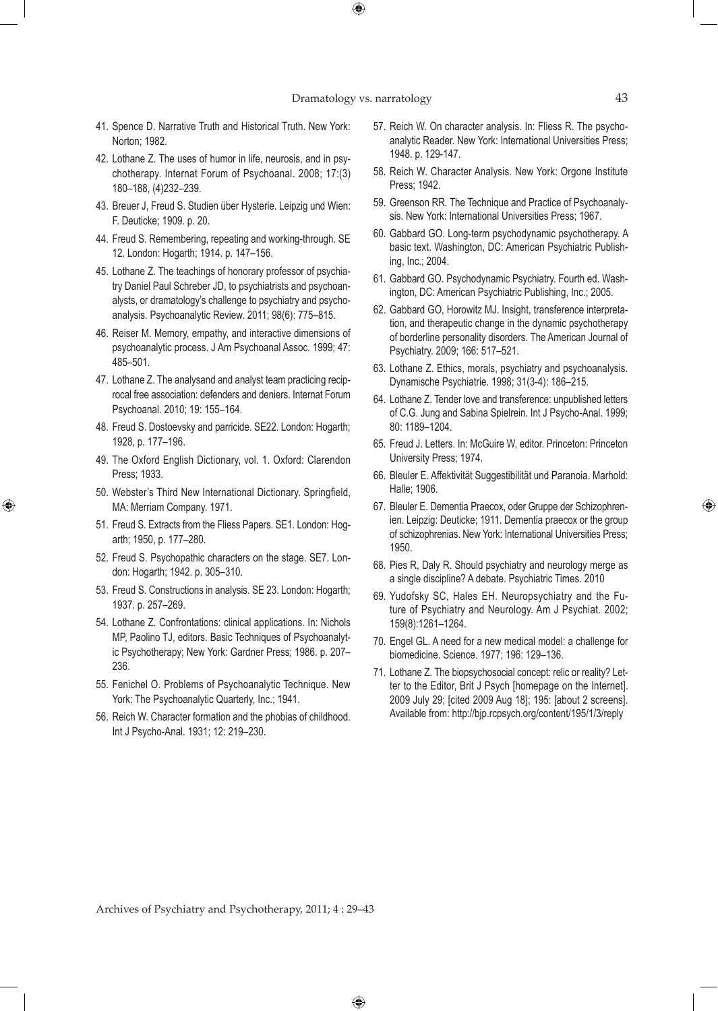$\bigoplus$ 

- 41. Spence D. Narrative Truth and Historical Truth. New York: Norton; 1982.
- 42. Lothane Z. The uses of humor in life, neurosis, and in psychotherapy. Internat Forum of Psychoanal. 2008; 17:(3) 180–188, (4)232–239.
- 43. Breuer J, Freud S. Studien über Hysterie. Leipzig und Wien: F. Deuticke; 1909. p. 20.
- 44. Freud S. Remembering, repeating and working-through. SE 12. London: Hogarth; 1914. p. 147–156.
- 45. Lothane Z. The teachings of honorary professor of psychiatry Daniel Paul Schreber JD, to psychiatrists and psychoanalysts, or dramatology's challenge to psychiatry and psychoanalysis. Psychoanalytic Review. 2011; 98(6): 775–815.
- 46. Reiser M. Memory, empathy, and interactive dimensions of psychoanalytic process. J Am Psychoanal Assoc. 1999; 47: 485–501.
- 47. Lothane Z. The analysand and analyst team practicing reciprocal free association: defenders and deniers. Internat Forum Psychoanal. 2010; 19: 155–164.
- 48. Freud S. Dostoevsky and parricide. SE22. London: Hogarth; 1928, p. 177–196.
- 49. The Oxford English Dictionary, vol. 1. Oxford: Clarendon Press; 1933.
- 50. Webster's Third New International Dictionary. Springfield, MA: Merriam Company. 1971.

⊕

- 51. Freud S. Extracts from the Fliess Papers. SE1. London: Hogarth; 1950, p. 177–280.
- 52. Freud S. Psychopathic characters on the stage. SE7. London: Hogarth; 1942. p. 305–310.
- 53. Freud S. Constructions in analysis. SE 23. London: Hogarth; 1937. p. 257–269.
- 54. Lothane Z. Confrontations: clinical applications. In: Nichols MP, Paolino TJ, editors. Basic Techniques of Psychoanalytic Psychotherapy; New York: Gardner Press; 1986. p. 207– 236.
- 55. Fenichel O. Problems of Psychoanalytic Technique. New York: The Psychoanalytic Quarterly, Inc.; 1941.
- 56. Reich W. Character formation and the phobias of childhood. Int J Psycho-Anal. 1931; 12: 219–230.
- 57. Reich W. On character analysis. In: Fliess R. The psychoanalytic Reader. New York: International Universities Press; 1948. p. 129-147.
- 58. Reich W. Character Analysis. New York: Orgone Institute Press; 1942.
- 59. Greenson RR. The Technique and Practice of Psychoanalysis. New York: International Universities Press; 1967.
- 60. Gabbard GO. Long-term psychodynamic psychotherapy. A basic text. Washington, DC: American Psychiatric Publishing, Inc.; 2004.
- 61. Gabbard GO. Psychodynamic Psychiatry. Fourth ed. Washington, DC: American Psychiatric Publishing, Inc.; 2005.
- 62. Gabbard GO, Horowitz MJ. Insight, transference interpretation, and therapeutic change in the dynamic psychotherapy of borderline personality disorders. The American Journal of Psychiatry. 2009; 166: 517–521.
- 63. Lothane Z. Ethics, morals, psychiatry and psychoanalysis. Dynamische Psychiatrie. 1998; 31(3-4): 186–215.
- 64. Lothane Z. Tender love and transference: unpublished letters of C.G. Jung and Sabina Spielrein. Int J Psycho-Anal. 1999; 80: 1189–1204.
- 65. Freud J. Letters. In: McGuire W, editor. Princeton: Princeton University Press; 1974.
- 66. Bleuler E. Affektivität Suggestibilität und Paranoia. Marhold: Halle; 1906.
- 67. Bleuler E. Dementia Praecox, oder Gruppe der Schizophrenien. Leipzig: Deuticke; 1911. Dementia praecox or the group of schizophrenias. New York: International Universities Press; 1950.
- 68. Pies R, Daly R. Should psychiatry and neurology merge as a single discipline? A debate. Psychiatric Times. 2010
- 69. Yudofsky SC, Hales EH. Neuropsychiatry and the Future of Psychiatry and Neurology. Am J Psychiat. 2002; 159(8):1261–1264.
- 70. Engel GL. A need for a new medical model: a challenge for biomedicine. Science. 1977; 196: 129–136.
- 71. Lothane Z. The biopsychosocial concept: relic or reality? Letter to the Editor, Brit J Psych [homepage on the Internet]. 2009 July 29; [cited 2009 Aug 18]; 195: [about 2 screens]. Available from: http://bjp.rcpsych.org/content/195/1/3/reply

Archives of Psychiatry and Psychotherapy, 2011; 4 : 29–43

 $\bigoplus$